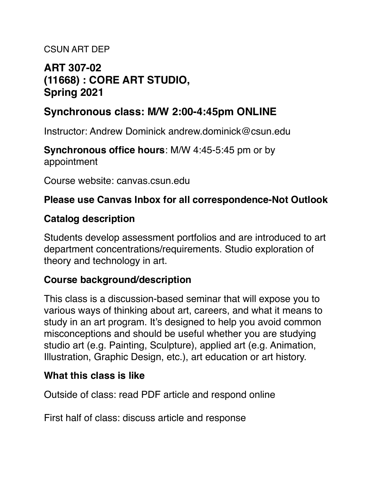#### CSUN ART DEP

# **ART 307-02 (11668) : CORE ART STUDIO, Spring 2021**

# **Synchronous class: M/W 2:00-4:45pm ONLINE**

Instructor: Andrew Dominick andrew.dominick@csun.edu

**Synchronous office hours**: M/W 4:45-5:45 pm or by appointment

Course website: canvas.csun.edu

#### **Please use Canvas Inbox for all correspondence-Not Outlook**

#### **Catalog description**

Students develop assessment portfolios and are introduced to art department concentrations/requirements. Studio exploration of theory and technology in art.

#### **Course background/description**

This class is a discussion-based seminar that will expose you to various ways of thinking about art, careers, and what it means to study in an art program. It's designed to help you avoid common misconceptions and should be useful whether you are studying studio art (e.g. Painting, Sculpture), applied art (e.g. Animation, Illustration, Graphic Design, etc.), art education or art history.

#### **What this class is like**

Outside of class: read PDF article and respond online

First half of class: discuss article and response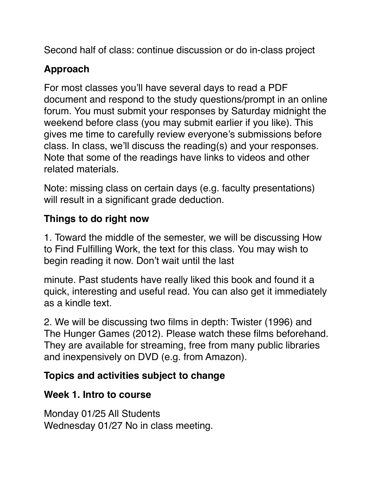Second half of class: continue discussion or do in-class project

# **Approach**

For most classes you'll have several days to read a PDF document and respond to the study questions/prompt in an online forum. You must submit your responses by Saturday midnight the weekend before class (you may submit earlier if you like). This gives me time to carefully review everyone's submissions before class. In class, we'll discuss the reading(s) and your responses. Note that some of the readings have links to videos and other related materials.

Note: missing class on certain days (e.g. faculty presentations) will result in a significant grade deduction.

# **Things to do right now**

1. Toward the middle of the semester, we will be discussing How to Find Fulfilling Work, the text for this class. You may wish to begin reading it now. Don't wait until the last

minute. Past students have really liked this book and found it a quick, interesting and useful read. You can also get it immediately as a kindle text.

2. We will be discussing two films in depth: Twister (1996) and The Hunger Games (2012). Please watch these films beforehand. They are available for streaming, free from many public libraries and inexpensively on DVD (e.g. from Amazon).

## **Topics and activities subject to change**

#### **Week 1. Intro to course**

Monday 01/25 All Students Wednesday 01/27 No in class meeting.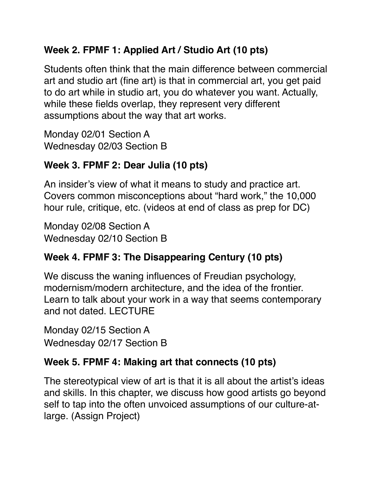# **Week 2. FPMF 1: Applied Art / Studio Art (10 pts)**

Students often think that the main difference between commercial art and studio art (fine art) is that in commercial art, you get paid to do art while in studio art, you do whatever you want. Actually, while these fields overlap, they represent very different assumptions about the way that art works.

Monday 02/01 Section A Wednesday 02/03 Section B

# **Week 3. FPMF 2: Dear Julia (10 pts)**

An insider's view of what it means to study and practice art. Covers common misconceptions about "hard work," the 10,000 hour rule, critique, etc. (videos at end of class as prep for DC)

Monday 02/08 Section A Wednesday 02/10 Section B

# **Week 4. FPMF 3: The Disappearing Century (10 pts)**

We discuss the waning influences of Freudian psychology, modernism/modern architecture, and the idea of the frontier. Learn to talk about your work in a way that seems contemporary and not dated. LECTURE

Monday 02/15 Section A Wednesday 02/17 Section B

# **Week 5. FPMF 4: Making art that connects (10 pts)**

The stereotypical view of art is that it is all about the artist's ideas and skills. In this chapter, we discuss how good artists go beyond self to tap into the often unvoiced assumptions of our culture-atlarge. (Assign Project)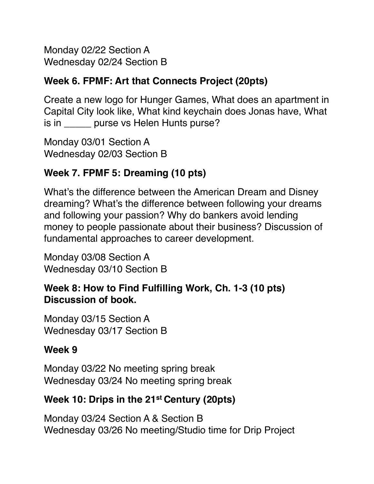Monday 02/22 Section A Wednesday 02/24 Section B

#### **Week 6. FPMF: Art that Connects Project (20pts)**

Create a new logo for Hunger Games, What does an apartment in Capital City look like, What kind keychain does Jonas have, What is in \_\_\_\_\_\_ purse vs Helen Hunts purse?

Monday 03/01 Section A Wednesday 02/03 Section B

# **Week 7. FPMF 5: Dreaming (10 pts)**

What's the difference between the American Dream and Disney dreaming? What's the difference between following your dreams and following your passion? Why do bankers avoid lending money to people passionate about their business? Discussion of fundamental approaches to career development.

Monday 03/08 Section A Wednesday 03/10 Section B

#### **Week 8: How to Find Fulfilling Work, Ch. 1-3 (10 pts) Discussion of book.**

Monday 03/15 Section A Wednesday 03/17 Section B

#### **Week 9**

Monday 03/22 No meeting spring break Wednesday 03/24 No meeting spring break

## **Week 10: Drips in the 21st Century (20pts)**

Monday 03/24 Section A & Section B Wednesday 03/26 No meeting/Studio time for Drip Project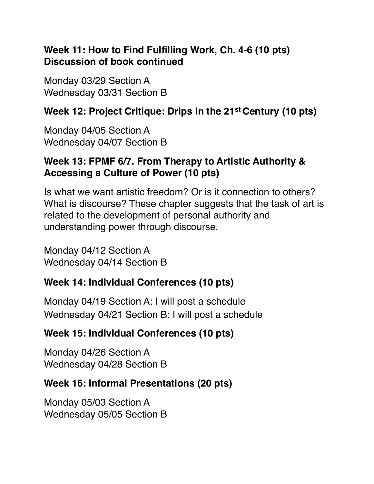#### **Week 11: How to Find Fulfilling Work, Ch. 4-6 (10 pts) Discussion of book continued**

Monday 03/29 Section A Wednesday 03/31 Section B

## **Week 12: Project Critique: Drips in the 21st Century (10 pts)**

Monday 04/05 Section A Wednesday 04/07 Section B

#### **Week 13: FPMF 6/7. From Therapy to Artistic Authority & Accessing a Culture of Power (10 pts)**

Is what we want artistic freedom? Or is it connection to others? What is discourse? These chapter suggests that the task of art is related to the development of personal authority and understanding power through discourse.

Monday 04/12 Section A Wednesday 04/14 Section B

## **Week 14: Individual Conferences (10 pts)**

Monday 04/19 Section A: I will post a schedule Wednesday 04/21 Section B: I will post a schedule

## **Week 15: Individual Conferences (10 pts)**

Monday 04/26 Section A Wednesday 04/28 Section B

## **Week 16: Informal Presentations (20 pts)**

Monday 05/03 Section A Wednesday 05/05 Section B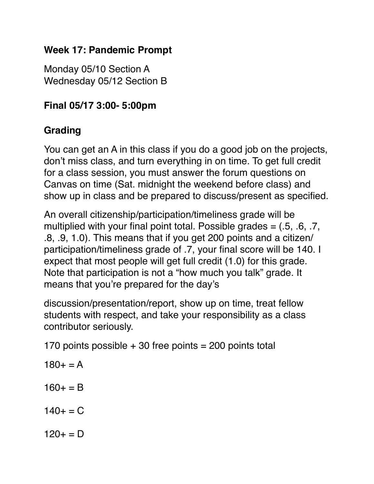## **Week 17: Pandemic Prompt**

Monday 05/10 Section A Wednesday 05/12 Section B

# **Final 05/17 3:00- 5:00pm**

# **Grading**

You can get an A in this class if you do a good job on the projects, don't miss class, and turn everything in on time. To get full credit for a class session, you must answer the forum questions on Canvas on time (Sat. midnight the weekend before class) and show up in class and be prepared to discuss/present as specified.

An overall citizenship/participation/timeliness grade will be multiplied with your final point total. Possible grades  $=$  (.5, .6, .7, .8, .9, 1.0). This means that if you get 200 points and a citizen/ participation/timeliness grade of .7, your final score will be 140. I expect that most people will get full credit (1.0) for this grade. Note that participation is not a "how much you talk" grade. It means that you're prepared for the day's

discussion/presentation/report, show up on time, treat fellow students with respect, and take your responsibility as a class contributor seriously.

170 points possible  $+30$  free points = 200 points total

- $180 + 4 = A$  $160 + = B$
- $140+$  = C
- $120+ = D$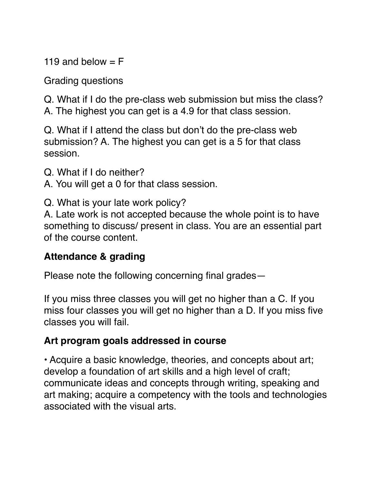119 and below  $=$  F

Grading questions

Q. What if I do the pre-class web submission but miss the class?

A. The highest you can get is a 4.9 for that class session.

Q. What if I attend the class but don't do the pre-class web submission? A. The highest you can get is a 5 for that class session.

Q. What if I do neither?

A. You will get a 0 for that class session.

Q. What is your late work policy?

A. Late work is not accepted because the whole point is to have something to discuss/ present in class. You are an essential part of the course content.

#### **Attendance & grading**

Please note the following concerning final grades—

If you miss three classes you will get no higher than a C. If you miss four classes you will get no higher than a D. If you miss five classes you will fail.

## **Art program goals addressed in course**

• Acquire a basic knowledge, theories, and concepts about art; develop a foundation of art skills and a high level of craft; communicate ideas and concepts through writing, speaking and art making; acquire a competency with the tools and technologies associated with the visual arts.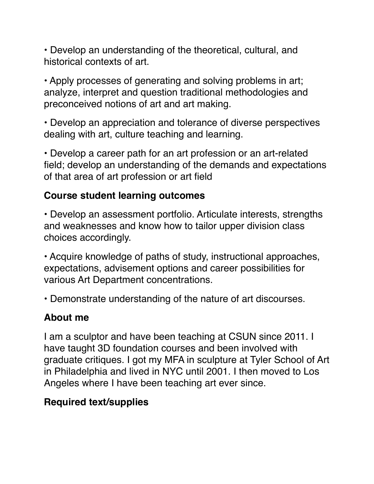• Develop an understanding of the theoretical, cultural, and historical contexts of art.

• Apply processes of generating and solving problems in art; analyze, interpret and question traditional methodologies and preconceived notions of art and art making.

• Develop an appreciation and tolerance of diverse perspectives dealing with art, culture teaching and learning.

• Develop a career path for an art profession or an art-related field; develop an understanding of the demands and expectations of that area of art profession or art field

#### **Course student learning outcomes**

• Develop an assessment portfolio. Articulate interests, strengths and weaknesses and know how to tailor upper division class choices accordingly.

• Acquire knowledge of paths of study, instructional approaches, expectations, advisement options and career possibilities for various Art Department concentrations.

• Demonstrate understanding of the nature of art discourses.

## **About me**

I am a sculptor and have been teaching at CSUN since 2011. I have taught 3D foundation courses and been involved with graduate critiques. I got my MFA in sculpture at Tyler School of Art in Philadelphia and lived in NYC until 2001. I then moved to Los Angeles where I have been teaching art ever since.

## **Required text/supplies**